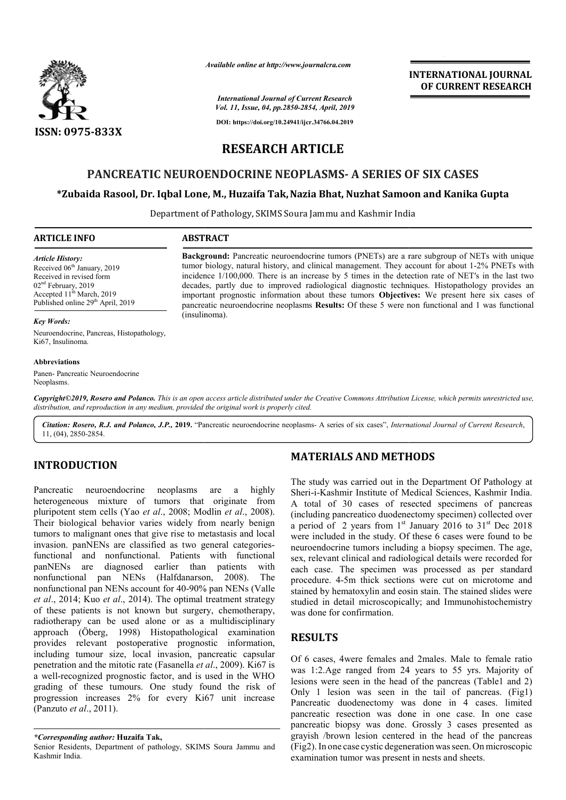

*Available online at http://www.journalcra.com*

#### *International Journal of Current Research Vol. 11, Issue, 04, pp.2850-2854, April, 2019*

**DOI: https://doi.org/10.24941/ijcr.34766.04.2019**

# **INTERNATIONAL JOURNAL OF CURRENT RESEARCH**

# **RESEARCH ARTICLE**

# **PANCREATIC NEUROENDOCRINE NEOPLASMS- A SERIES OF SIX CASES**

# **\*Zubaida Rasool, Dr. Iqbal Lone, M., Huzaifa Tak, Zubaida Tak,Nazia Bhat, Nuzhat Samoon and Kanika Gupta**

Department of Pathology, SKIMS Soura Jammu and Kashmir India

## **ARTICLE INFO ABSTRACT**

#### *Article History:*

Received 06<sup>th</sup> January, 2019 Received in revised form 02<sup>nd</sup> February, 2019 Accepted 11<sup>th</sup> March, 2019 Published online 29<sup>th</sup> April, 2019

**Background:** Pancreatic neuroendocrine tumors (PNETs) are a rare subgroup of NETs with unique tumor biology, natural history, and clinical management. They account for about 1-2% PNETs with incidence  $1/100,000$ . There is an increase by 5 times in the detection rate of NET's in the last two decades, partly due to improved radiological diagnostic techniques. Histopathology provides an decades, partly due to improved radiological diagnostic techniques. Histopathology provides an important prognostic information about these tumors **Objectives:** We present here six cases of pancreatic neuroendocrine neoplasms **Results:** Of these 5 were non functional and 1 was functional (insulinoma).

**Background:** Pancreatic neuroendocrine tumors (PNETs) are a rare subgroup of NETs with unique

#### *Key Words:*

Neuroendocrine, Pancreas, Histopathology, Ki67, Insulinoma.

#### **Abbreviations**

Panen- Pancreatic Neuroendocrine Neoplasms.

Copyright©2019, Rosero and Polanco. This is an open access article distributed under the Creative Commons Attribution License, which permits unrestricted use, *distribution, and reproduction in any medium, provided the original work is properly cited.*

Citation: Rosero, R.J. and Polanco, J.P., 2019. "Pancreatic neuroendocrine neoplasms- A series of six cases", *International Journal of Current Research*, 11, (04), 2850-2854.

# **INTRODUCTION**

Pancreatic neuroendocrine neoplasms are a highly heterogeneous mixture of tumors that originate from pluripotent stem cells (Yao *et al*., 2008; Modlin *et al*., 2008). Their biological behavior varies widely from nearly benign tumors to malignant ones that give rise to metastasis and local invasion. panNENs are classified as two general categoriesfunctional and nonfunctional. Patients with functional panNENs are diagnosed earlier than p patients with nonfunctional pan NENs (Halfdanarson, 2008 Halfdanarson, 2008). The nonfunctional pan NENs account for 40-90% pan NENs (Valle *et al*., 2014; Kuo *et al*., 2014). The optimal treatment strategy of these patients is not known but surgery, chemotherapy, et al., 2014; Kuo et al., 2014). The optimal treatment strategy of these patients is not known but surgery, chemotherapy, radiotherapy can be used alone or as a multidisciplinary approach (Öberg, 1998) Histopathological examination provides relevant postoperative prognostic information, including tumour size, local invasion, pancreatic capsular penetration and the mitotic rate (Fasanella *et al.*, 2009). Ki67 is a well-recognized prognostic factor, and is used in the WHO grading of these tumours. One study found the risk of progression increases 2% for every Ki67 unit increase (Panzuto *et al*., 2011). **COLUTION**<br> **MATERIALS AND METHODS**<br> **METHODS**<br> **MATERIALS AND METHODS**<br> **METHODS**<br> **METHODS**<br> **METHODS**<br> **METHODS**<br> **METHODS**<br> **METHODS**<br> **METHODS**<br> **METHODS**<br> **METHODS**<br> **METHODS**<br> **METHODS**<br> **METHODS**<br> **METHODS**<br> **METH** 

# **MATERIALS AND METHODS**

The study was carried out in the Department Of Pathology at Sheri-i-Kashmir Institute of Medical Sciences, Kashmir India. The study was carried out in the Department Of Pathology at Sheri-i-Kashmir Institute of Medical Sciences, Kashmir India.<br>A total of 30 cases of resected specimens of pancreas (including pancreatico duodenectomy specimen) collected over (including pancreatico duodenectomy specimen) collected over a period of 2 years from  $1<sup>st</sup>$  January 2016 to  $31<sup>st</sup>$  Dec 2018 were included in the study. Of these 6 cases were found to be were included in the study. Of these 6 cases were found to be neuroendocrine tumors including a biopsy specimen. The age, sex, relevant clinical and radiological details were recorded for each case. The specimen was processed as per standard procedure. 4-5m thick sections were cut on microtome and stained by hematoxylin and eosin stain. The stained slides were studied in detail microscopically; and Immunohistochemistry was done for confirmation. relevant clinical and radiological details were recorded for<br>the case. The specimen was processed as per standard<br>ocedure. 4-5m thick sections were cut on microtome and<br>ined by hematoxylin and eosin stain. The stained slid **TERNATIONAL JOURNAL SOF CURRENT RESEARCH**<br> **SIX CASES**<br> **SIX CASES**<br> **SIX CASES**<br> **SIX CASES**<br> **SIMENT RESEARCH**<br> **SIMENT RESEARCH**<br> **SIMENT ABOUT 1-2% PNETs with unique to the but 1-2% PNETs with the six cases or the six** 

# **RESULTS**

Of 6 cases, 4were females and 2males. Male to female ratio was 1:2.Age ranged from 24 years to 55 yrs. Majority of lesions were seen in the head of the pancreas (Table1 and 2) Only 1 lesion was seen in the tail of pancreas. (Fig1) Pancreatic duodenectomy was done in 4 cases. limited pancreatic resection was done in one case. In one case pancreatic biopsy was done. Grossly 3 cases presented as grayish /brown lesion centered in the head of the pancreas (Fig2).In one case cystic degeneration wasseen. On microscopic examination tumor was present in nests and sheets. Only 1 lesion was seen in the tail of pancreas. (Pancreatic duodenectomy was done in 4 cases. life pancreatic resection was done in one case. In one pancreatic biopsy was done. Grossly 3 cases present

*<sup>\*</sup>Corresponding author:* **Huzaifa Tak,**

Senior Residents, Department of pathology, SKIMS Soura Jammu and Kashmir India.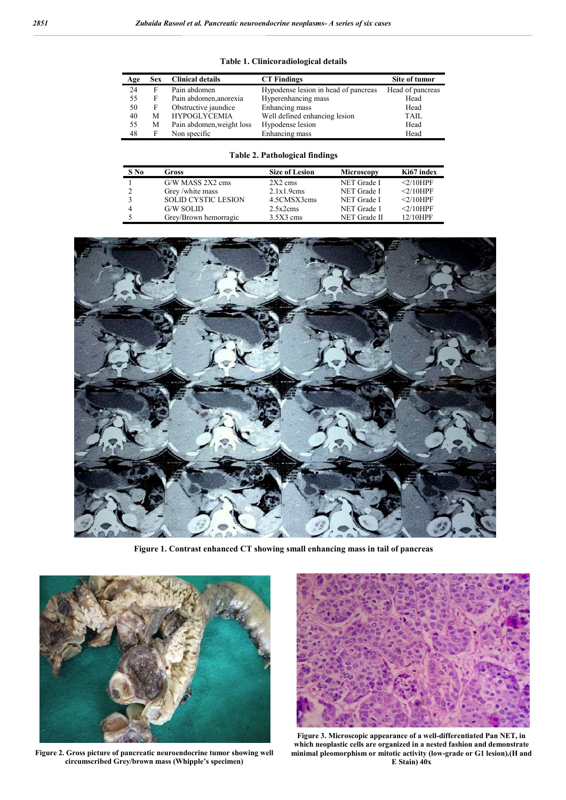| Age | <b>Sex</b> | <b>Clinical details</b>   | <b>CT Findings</b>                   | Site of tumor    |
|-----|------------|---------------------------|--------------------------------------|------------------|
| 24  | F          | Pain abdomen              | Hypodense lesion in head of pancreas | Head of pancreas |
| 55  | F          | Pain abdomen, anorexia    | Hyperenhancing mass                  | Head             |
| 50  | F          | Obstructive jaundice      | Enhancing mass                       | Head             |
| 40  | М          | <b>HYPOGLYCEMIA</b>       | Well defined enhancing lesion        | TAIL             |
| 55  | М          | Pain abdomen, weight loss | Hypodense lesion                     | Head             |
| 48  | F          | Non specific              | Enhancing mass                       | Head             |

# **Table 1. Clinicoradiological details**

# **Table 2. Pathological findings**

| S No | Gross                      | <b>Size of Lesion</b> | Microscopy   | Ki67 index  |
|------|----------------------------|-----------------------|--------------|-------------|
|      | G/W MASS 2X2 cms           | $2X2$ cms             | NET Grade I  | $<$ 2/10HPF |
|      | Grey/white mass            | 2.1x1.9cms            | NET Grade I  | $<$ 2/10HPF |
|      | <b>SOLID CYSTIC LESION</b> | 4.5CMSX3cms           | NET Grade I  | $<$ 2/10HPF |
|      | G/W SOLID                  | 2.5x2cms              | NET Grade 1  | $<$ 2/10HPF |
|      | Grey/Brown hemorragic      | $3.5X3$ cms           | NET Grade II | 12/10HPF    |



**Figure 1. Contrast enhanced CT showing small enhancing mass in tail of pancreas**



**Figure 2. Gross picture of pancreatic neuroendocrine tumor showing well circumscribed Grey/brown mass (Whipple's specimen)**



**Figure 3. Microscopic appearance of a well-differentiated Pan NET, in which neoplastic cells are organized in a nested fashion and demonstrate minimal pleomorphism or mitotic activity (low-grade or G1 lesion).(H and E Stain) 40x**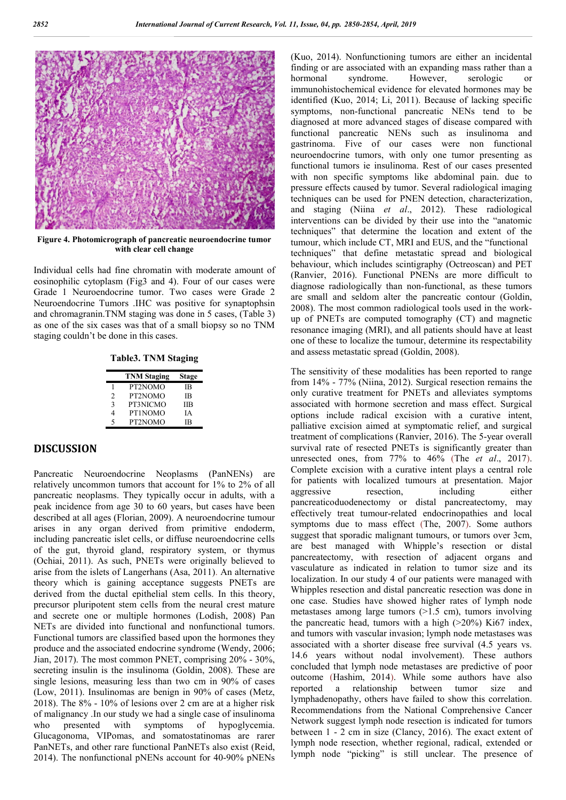

**Figure 4. Photomicrograph of pancreatic neuroendocrine tumor with clear cell change**

Individual cells had fine chromatin with moderate amount of eosinophilic cytoplasm (Fig3 and 4). Four of our cases were Grade 1 Neuroendocrine tumor. Two cases were Grade 2 Neuroendocrine Tumors .IHC was positive for synaptophsin and chromagranin.TNM staging was done in 5 cases, (Table 3) as one of the six cases was that of a small biopsy so no TNM staging couldn't be done in this cases.

**Table3. TNM Staging**

|             | <b>TNM Staging</b> | Stage      |
|-------------|--------------------|------------|
|             | PT2NOMO            | <b>IB</b>  |
| 2           | PT2NOMO            | <b>IB</b>  |
| 3           | PT3NICMO           | <b>IIB</b> |
| 4           | PT1NOMO            | ĪΑ         |
| $\varsigma$ | PT2NOMO            | ΙR         |
|             |                    |            |

# **DISCUSSION**

Pancreatic Neuroendocrine Neoplasms (PanNENs) are relatively uncommon tumors that account for 1% to 2% of all pancreatic neoplasms. They typically occur in adults, with a peak incidence from age 30 to 60 years, but cases have been described at all ages (Florian, 2009). A neuroendocrine tumour arises in any organ derived from primitive endoderm, including pancreatic islet cells, or diffuse neuroendocrine cells of the gut, thyroid gland, respiratory system, or thymus (Ochiai, 2011). As such, PNETs were originally believed to arise from the islets of Langerhans (Asa, 2011). An alternative theory which is gaining acceptance suggests PNETs are derived from the ductal epithelial stem cells. In this theory, precursor pluripotent stem cells from the neural crest mature and secrete one or multiple hormones (Lodish, 2008) Pan NETs are divided into functional and nonfunctional tumors. Functional tumors are classified based upon the hormones they produce and the associated endocrine syndrome (Wendy, 2006; Jian, 2017). The most common PNET, comprising 20% - 30%, secreting insulin is the insulinoma (Goldin, 2008). These are single lesions, measuring less than two cm in 90% of cases (Low, 2011). Insulinomas are benign in 90% of cases (Metz, 2018). The 8% - 10% of lesions over 2 cm are at a higher risk of malignancy .In our study we had a single case of insulinoma who presented with symptoms of hypoglycemia. Glucagonoma, VIPomas, and somatostatinomas are rarer PanNETs, and other rare functional PanNETs also exist (Reid, 2014). The nonfunctional pNENs account for 40-90% pNENs

(Kuo, 2014). Nonfunctioning tumors are either an incidental finding or are associated with an expanding mass rather than a hormonal syndrome. However, serologic or immunohistochemical evidence for elevated hormones may be identified (Kuo, 2014; Li, 2011). Because of lacking specific symptoms, non-functional pancreatic NENs tend to be diagnosed at more advanced stages of disease compared with functional pancreatic NENs such as insulinoma and gastrinoma. Five of our cases were non functional neuroendocrine tumors, with only one tumor presenting as functional tumors ie insulinoma. Rest of our cases presented with non specific symptoms like abdominal pain. due to pressure effects caused by tumor. Several radiological imaging techniques can be used for PNEN detection, characterization, and staging (Niina *et al*., 2012). These radiological interventions can be divided by their use into the "anatomic techniques" that determine the location and extent of the tumour, which include CT, MRI and EUS, and the "functional techniques" that define metastatic spread and biological behaviour, which includes scintigraphy (Octreoscan) and PET (Ranvier, 2016). Functional PNENs are more difficult to diagnose radiologically than non-functional, as these tumors are small and seldom alter the pancreatic contour (Goldin, 2008). The most common radiological tools used in the workup of PNETs are computed tomography (CT) and magnetic resonance imaging (MRI), and all patients should have at least one of these to localize the tumour, determine its respectability and assess metastatic spread (Goldin, 2008).

The sensitivity of these modalities has been reported to range from 14% - 77% (Niina, 2012). Surgical resection remains the only curative treatment for PNETs and alleviates symptoms associated with hormone secretion and mass effect. Surgical options include radical excision with a curative intent, palliative excision aimed at symptomatic relief, and surgical treatment of complications (Ranvier, 2016). The 5-year overall survival rate of resected PNETs is significantly greater than unresected ones, from 77% to 46% (The *et al*., 2017). Complete excision with a curative intent plays a central role for patients with localized tumours at presentation. Major aggressive resection, including either pancreaticoduodenectomy or distal pancreatectomy, may effectively treat tumour-related endocrinopathies and local symptoms due to mass effect (The, 2007). Some authors suggest that sporadic malignant tumours, or tumors over 3cm, are best managed with Whipple's resection or distal pancreatectomy, with resection of adjacent organs and vasculature as indicated in relation to tumor size and its localization. In our study 4 of our patients were managed with Whipples resection and distal pancreatic resection was done in one case. Studies have showed higher rates of lymph node metastases among large tumors (>1.5 cm), tumors involving the pancreatic head, tumors with a high  $(>20\%)$  Ki67 index, and tumors with vascular invasion; lymph node metastases was associated with a shorter disease free survival (4.5 years vs. 14.6 years without nodal involvement). These authors concluded that lymph node metastases are predictive of poor outcome (Hashim, 2014). While some authors have also reported a relationship between tumor size and lymphadenopathy, others have failed to show this correlation. Recommendations from the National Comprehensive Cancer Network suggest lymph node resection is indicated for tumors between 1 - 2 cm in size (Clancy, 2016). The exact extent of lymph node resection, whether regional, radical, extended or lymph node "picking" is still unclear. The presence of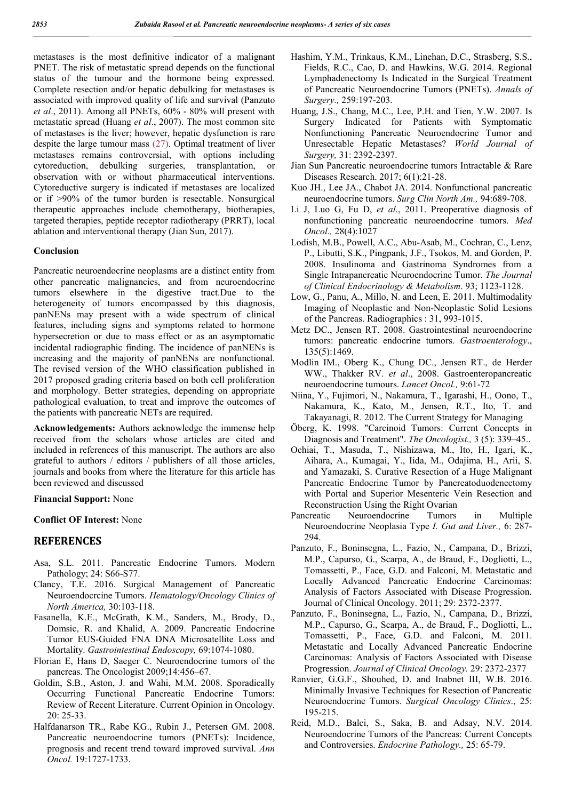metastases is the most definitive indicator of a malignant PNET. The risk of metastatic spread depends on the functional status of the tumour and the hormone being expressed. Complete resection and/or hepatic debulking for metastases is associated with improved quality of life and survival (Panzuto *et al*., 2011). Among all PNETs, 60% - 80% will present with metastatic spread (Huang *et al*., 2007). The most common site of metastases is the liver; however, hepatic dysfunction is rare despite the large tumour mass (27). Optimal treatment of liver metastases remains controversial, with options including cytoreduction, debulking surgeries, transplantation, or observation with or without pharmaceutical interventions. Cytoreductive surgery is indicated if metastases are localized or if >90% of the tumor burden is resectable. Nonsurgical therapeutic approaches include chemotherapy, biotherapies, targeted therapies, peptide receptor radiotherapy (PRRT), local ablation and interventional therapy (Jian Sun, 2017).

#### **Conclusion**

Pancreatic neuroendocrine neoplasms are a distinct entity from other pancreatic malignancies, and from neuroendocrine tumors elsewhere in the digestive tract.Due to the heterogeneity of tumors encompassed by this diagnosis, panNENs may present with a wide spectrum of clinical features, including signs and symptoms related to hormone hypersecretion or due to mass effect or as an asymptomatic incidental radiographic finding. The incidence of panNENs is increasing and the majority of panNENs are nonfunctional. The revised version of the WHO classification published in 2017 proposed grading criteria based on both cell proliferation and morphology. Better strategies, depending on appropriate pathological evaluation, to treat and improve the outcomes of the patients with pancreatic NETs are required.

**Acknowledgements:** Authors acknowledge the immense help received from the scholars whose articles are cited and included in references of this manuscript. The authors are also grateful to authors / editors / publishers of all those articles, journals and books from where the literature for this article has been reviewed and discussed

## **Financial Support:** None

# **Conflict OF Interest:** None

## **REFERENCES**

- Asa, S.L. 2011. Pancreatic Endocrine Tumors. Modern Pathology; 24: S66-S77.
- Clancy, T.E. 2016. Surgical Management of Pancreatic Neuroendocrcine Tumors. *Hematology/Oncology Clinics of North America,* 30:103-118.
- Fasanella, K.E., McGrath, K.M., Sanders, M., Brody, D., Domsic, R. and Khalid, A. 2009. Pancreatic Endocrine Tumor EUS-Guided FNA DNA Microsatellite Loss and Mortality. *Gastrointestinal Endoscopy,* 69:1074-1080.
- Florian E, Hans D, Saeger C. Neuroendocrine tumors of the pancreas. The Oncologist 2009;14:456–67.
- Goldin, S.B., Aston, J. and Wahi, M.M. 2008. Sporadically Occurring Functional Pancreatic Endocrine Tumors: Review of Recent Literature. Current Opinion in Oncology. 20: 25-33.
- Halfdanarson TR., Rabe KG., Rubin J., Petersen GM. 2008. Pancreatic neuroendocrine tumors (PNETs): Incidence, prognosis and recent trend toward improved survival. *Ann Oncol.* 19:1727-1733.
- Hashim, Y.M., Trinkaus, K.M., Linehan, D.C., Strasberg, S.S., Fields, R.C., Cao, D. and Hawkins, W.G. 2014. Regional Lymphadenectomy Is Indicated in the Surgical Treatment of Pancreatic Neuroendocrine Tumors (PNETs). *Annals of Surgery.,* 259:197-203.
- Huang, J.S., Chang, M.C., Lee, P.H. and Tien, Y.W. 2007. Is Surgery Indicated for Patients with Symptomatic Nonfunctioning Pancreatic Neuroendocrine Tumor and Unresectable Hepatic Metastases? *World Journal of Surgery,* 31: 2392-2397.
- Jian Sun Pancreatic neuroendocrine tumors Intractable & Rare Diseases Research. 2017; 6(1):21-28.
- Kuo JH., Lee JA., Chabot JA. 2014. Nonfunctional pancreatic neuroendocrine tumors. *Surg Clin North Am.,* 94:689-708.
- Li J, Luo G, Fu D, *et al*., 2011. Preoperative diagnosis of nonfunctioning pancreatic neuroendocrine tumors. *Med Oncol.,* 28(4):1027
- Lodish, M.B., Powell, A.C., Abu-Asab, M., Cochran, C., Lenz, P., Libutti, S.K., Pingpank, J.F., Tsokos, M. and Gorden, P. 2008. Insulinoma and Gastrinoma Syndromes from a Single Intrapancreatic Neuroendocrine Tumor. *The Journal of Clinical Endocrinology & Metabolism*. 93; 1123-1128.
- Low, G., Panu, A., Millo, N. and Leen, E. 2011. Multimodality Imaging of Neoplastic and Non-Neoplastic Solid Lesions of the Pancreas. Radiographics : 31, 993-1015.
- Metz DC., Jensen RT. 2008. Gastrointestinal neuroendocrine tumors: pancreatic endocrine tumors. *Gastroenterology*., 135(5):1469.
- Modlin IM., Oberg K., Chung DC., Jensen RT., de Herder WW., Thakker RV. *et al*., 2008. Gastroenteropancreatic neuroendocrine tumours. *Lancet Oncol.,* 9:61-72
- Niina, Y., Fujimori, N., Nakamura, T., Igarashi, H., Oono, T., Nakamura, K., Kato, M., Jensen, R.T., Ito, T. and Takayanagi, R. 2012. The Current Strategy for Managing
- Öberg, K. 1998. "Carcinoid Tumors: Current Concepts in Diagnosis and Treatment". *The Oncologist.,* 3 (5): 339–45..
- Ochiai, T., Masuda, T., Nishizawa, M., Ito, H., Igari, K., Aihara, A., Kumagai, Y., Iida, M., Odajima, H., Arii, S. and Yamazaki, S. Curative Resection of a Huge Malignant Pancreatic Endocrine Tumor by Pancreatoduodenectomy with Portal and Superior Mesenteric Vein Resection and Reconstruction Using the Right Ovarian
- Pancreatic Neuroendocrine Tumors in Multiple Neuroendocrine Neoplasia Type *I. Gut and Liver.,* 6: 287- 294.
- Panzuto, F., Boninsegna, L., Fazio, N., Campana, D., Brizzi, M.P., Capurso, G., Scarpa, A., de Braud, F., Dogliotti, L., Tomassetti, P., Face, G.D. and Falconi, M. Metastatic and Locally Advanced Pancreatic Endocrine Carcinomas: Analysis of Factors Associated with Disease Progression. Journal of Clinical Oncology. 2011; 29: 2372-2377.
- Panzuto, F., Boninsegna, L., Fazio, N., Campana, D., Brizzi, M.P., Capurso, G., Scarpa, A., de Braud, F., Dogliotti, L., Tomassetti, P., Face, G.D. and Falconi, M. 2011. Metastatic and Locally Advanced Pancreatic Endocrine Carcinomas: Analysis of Factors Associated with Disease Progression. *Journal of Clinical Oncology.* 29: 2372-2377
- Ranvier, G.G.F., Shouhed, D. and Inabnet III, W.B. 2016. Minimally Invasive Techniques for Resection of Pancreatic Neuroendocrine Tumors. *Surgical Oncology Clinics*., 25: 195-215.
- Reid, M.D., Balci, S., Saka, B. and Adsay, N.V. 2014. Neuroendocrine Tumors of the Pancreas: Current Concepts and Controversies. *Endocrine Pathology.,* 25: 65-79.